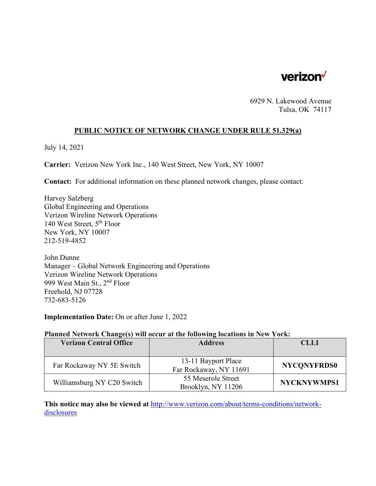

6929 N. Lakewood Avenue Tulsa, OK 74117

### **PUBLIC NOTICE OF NETWORK CHANGE UNDER RULE 51.329(a)**

July 14, 2021

**Carrier:** Verizon New York Inc., 140 West Street, New York, NY 10007

**Contact:** For additional information on these planned network changes, please contact:

Harvey Salzberg Global Engineering and Operations Verizon Wireline Network Operations 140 West Street, 5th Floor New York, NY 10007 212-519-4852

John Dunne Manager – Global Network Engineering and Operations Verizon Wireline Network Operations 999 West Main St., 2nd Floor Freehold, NJ 07728 732-683-5126

**Implementation Date:** On or after June 1, 2022

#### **Planned Network Change(s) will occur at the following locations in New York:**

| <b>Verizon Central Office</b> | <b>Address</b>                                | <b>CLLI</b>        |
|-------------------------------|-----------------------------------------------|--------------------|
|                               |                                               |                    |
| Far Rockaway NY 5E Switch     | 13-11 Bayport Place<br>Far Rockaway, NY 11691 | <b>NYCONYFRDS0</b> |
| Williamsburg NY C20 Switch    | 55 Meserole Street<br>Brooklyn, NY 11206      | NYCKNYWMPS1        |

**This notice may also be viewed at** http://www.verizon.com/about/terms-conditions/networkdisclosures